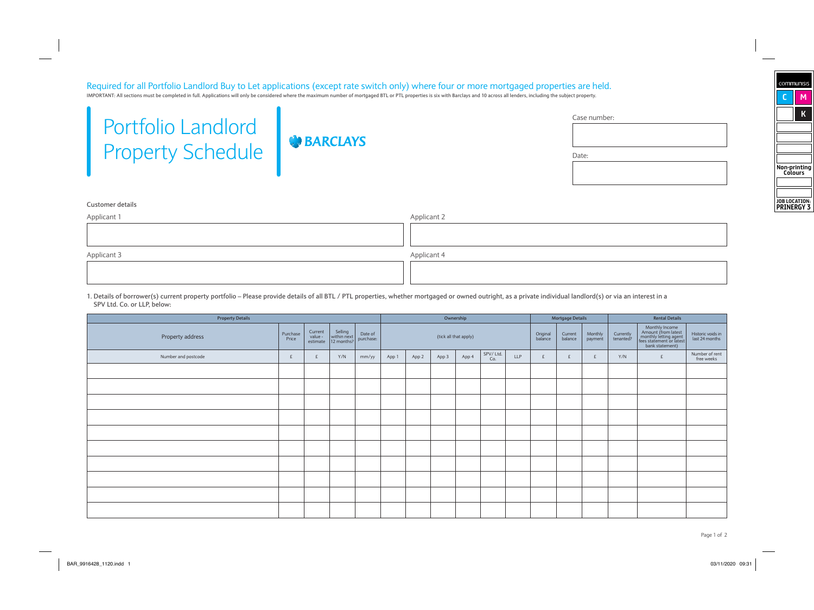# Required for all Portfolio Landlord Buy to Let applications (except rate switch only) where four or more mortgaged properties are held.

IMPORTANT: All sections must be completed in full. Applications will only be considered where the maximum number of mortgaged BTL or PTL properties is six with Barclays and 10 across all lenders, including the subject prop

| <b>Portfolio Landlord</b> |
|---------------------------|
| <b>Property Schedule</b>  |

**BARCLAYS** 

| Case number: |  |  |
|--------------|--|--|
|              |  |  |
|              |  |  |
| Date:        |  |  |

#### **Customer details**

| Applicant 1 | Applicant 2 |
|-------------|-------------|
|             |             |
|             |             |
| Applicant 3 | Applicant 4 |
|             |             |
|             |             |

**1. Details of borrower(s) current property portfolio – Please provide details of all BTL / PTL properties, whether mortgaged or owned outright, as a private individual landlord(s) or via an interest in a SPV Ltd. Co. or LLP, below:**

| <b>Property Details</b> |                   |                                |                                      |                      |       |       |       | Ownership             |                 |            |                     | <b>Mortgage Details</b> |                    |                        | <b>Rental Details</b>                                                                                         |                                     |
|-------------------------|-------------------|--------------------------------|--------------------------------------|----------------------|-------|-------|-------|-----------------------|-----------------|------------|---------------------|-------------------------|--------------------|------------------------|---------------------------------------------------------------------------------------------------------------|-------------------------------------|
| Property address        | Purchase<br>Price | Current<br>value -<br>estimate | Selling<br>within next<br>12 months? | Date of<br>purchase: |       |       |       | (tick all that apply) |                 |            | Original<br>balance | Current<br>balance      | Monthly<br>payment | Currently<br>tenanted? | Monthly Income<br>Amount (from latest<br>monthly letting agent<br>fees statement or latest<br>bank statement) | Historic voids in<br>last 24 months |
| Number and postcode     | £                 | £                              | Y/N                                  | mm/yy                | App 1 | App 2 | App 3 | App 4                 | SPV/Ltd.<br>Co. | <b>LLP</b> | £                   | £                       |                    | Y/N                    | £                                                                                                             | Number of rent<br>free weeks        |
|                         |                   |                                |                                      |                      |       |       |       |                       |                 |            |                     |                         |                    |                        |                                                                                                               |                                     |
|                         |                   |                                |                                      |                      |       |       |       |                       |                 |            |                     |                         |                    |                        |                                                                                                               |                                     |
|                         |                   |                                |                                      |                      |       |       |       |                       |                 |            |                     |                         |                    |                        |                                                                                                               |                                     |
|                         |                   |                                |                                      |                      |       |       |       |                       |                 |            |                     |                         |                    |                        |                                                                                                               |                                     |
|                         |                   |                                |                                      |                      |       |       |       |                       |                 |            |                     |                         |                    |                        |                                                                                                               |                                     |
|                         |                   |                                |                                      |                      |       |       |       |                       |                 |            |                     |                         |                    |                        |                                                                                                               |                                     |
|                         |                   |                                |                                      |                      |       |       |       |                       |                 |            |                     |                         |                    |                        |                                                                                                               |                                     |
|                         |                   |                                |                                      |                      |       |       |       |                       |                 |            |                     |                         |                    |                        |                                                                                                               |                                     |
|                         |                   |                                |                                      |                      |       |       |       |                       |                 |            |                     |                         |                    |                        |                                                                                                               |                                     |
|                         |                   |                                |                                      |                      |       |       |       |                       |                 |            |                     |                         |                    |                        |                                                                                                               |                                     |